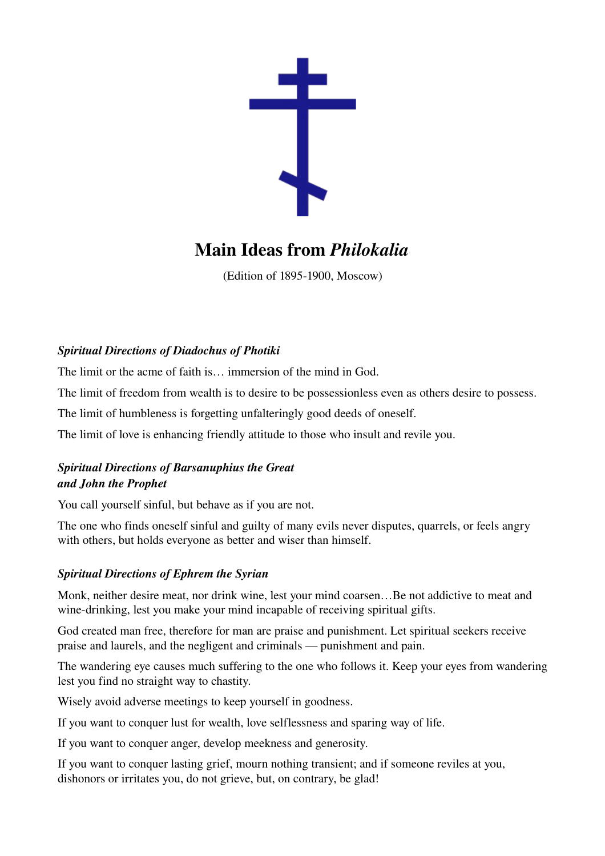

# Main Ideas from *Philokalia*

(Edition of 1895-1900, Moscow)

## *Spiritual Directions of Diadochus of Photiki*

The limit or the acme of faith is… immersion of the mind in God.

The limit of freedom from wealth is to desire to be possessionless even as others desire to possess.

The limit of humbleness is forgetting unfalteringly good deeds of oneself.

The limit of love is enhancing friendly attitude to those who insult and revile you.

## *Spiritual Directions of Barsanuphius the Great and John the Prophet*

You call yourself sinful, but behave as if you are not.

The one who finds oneself sinful and guilty of many evils never disputes, quarrels, or feels angry with others, but holds everyone as better and wiser than himself.

### *Spiritual Directions of Ephrem the Syrian*

Monk, neither desire meat, nor drink wine, lest your mind coarsen…Be not addictive to meat and wine-drinking, lest you make your mind incapable of receiving spiritual gifts.

God created man free, therefore for man are praise and punishment. Let spiritual seekers receive praise and laurels, and the negligent and criminals — punishment and pain.

The wandering eye causes much suffering to the one who follows it. Keep your eyes from wandering lest you find no straight way to chastity.

Wisely avoid adverse meetings to keep yourself in goodness.

If you want to conquer lust for wealth, love selflessness and sparing way of life.

If you want to conquer anger, develop meekness and generosity.

If you want to conquer lasting grief, mourn nothing transient; and if someone reviles at you, dishonors or irritates you, do not grieve, but, on contrary, be glad!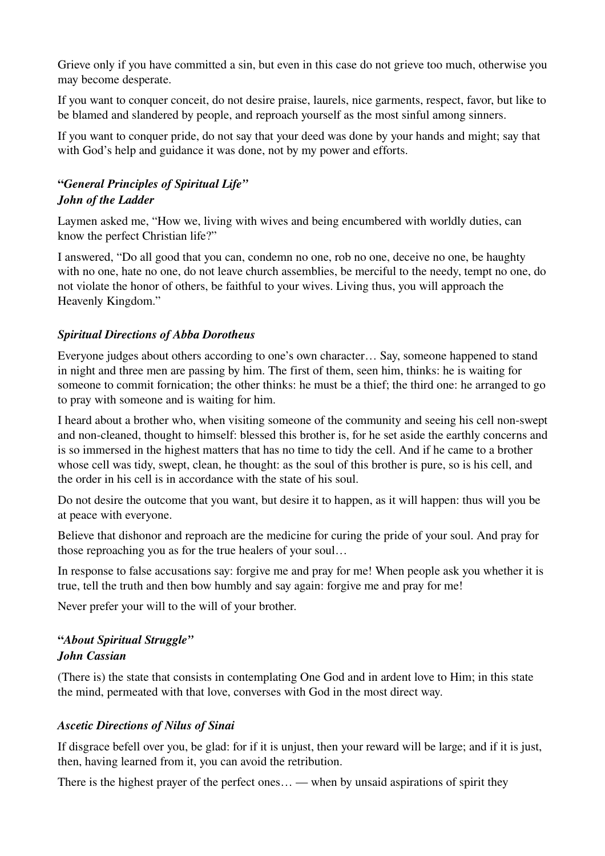Grieve only if you have committed a sin, but even in this case do not grieve too much, otherwise you may become desperate.

If you want to conquer conceit, do not desire praise, laurels, nice garments, respect, favor, but like to be blamed and slandered by people, and reproach yourself as the most sinful among sinners.

If you want to conquer pride, do not say that your deed was done by your hands and might; say that with God's help and guidance it was done, not by my power and efforts.

### "*General Principles of Spiritual Life" John of the Ladder*

Laymen asked me, "How we, living with wives and being encumbered with worldly duties, can know the perfect Christian life?"

I answered, "Do all good that you can, condemn no one, rob no one, deceive no one, be haughty with no one, hate no one, do not leave church assemblies, be merciful to the needy, tempt no one, do not violate the honor of others, be faithful to your wives. Living thus, you will approach the Heavenly Kingdom."

### *Spiritual Directions of Abba Dorotheus*

Everyone judges about others according to one's own character… Say, someone happened to stand in night and three men are passing by him. The first of them, seen him, thinks: he is waiting for someone to commit fornication; the other thinks: he must be a thief; the third one: he arranged to go to pray with someone and is waiting for him.

I heard about a brother who, when visiting someone of the community and seeing his cell nonswept and non-cleaned, thought to himself: blessed this brother is, for he set aside the earthly concerns and is so immersed in the highest matters that has no time to tidy the cell. And if he came to a brother whose cell was tidy, swept, clean, he thought: as the soul of this brother is pure, so is his cell, and the order in his cell is in accordance with the state of his soul.

Do not desire the outcome that you want, but desire it to happen, as it will happen: thus will you be at peace with everyone.

Believe that dishonor and reproach are the medicine for curing the pride of your soul. And pray for those reproaching you as for the true healers of your soul…

In response to false accusations say: forgive me and pray for me! When people ask you whether it is true, tell the truth and then bow humbly and say again: forgive me and pray for me!

Never prefer your will to the will of your brother.

#### "*About Spiritual Struggle" John Cassian*

(There is) the state that consists in contemplating One God and in ardent love to Him; in this state the mind, permeated with that love, converses with God in the most direct way.

### *Ascetic Directions of Nilus of Sinai*

If disgrace befell over you, be glad: for if it is unjust, then your reward will be large; and if it is just, then, having learned from it, you can avoid the retribution.

There is the highest prayer of the perfect ones… — when by unsaid aspirations of spirit they